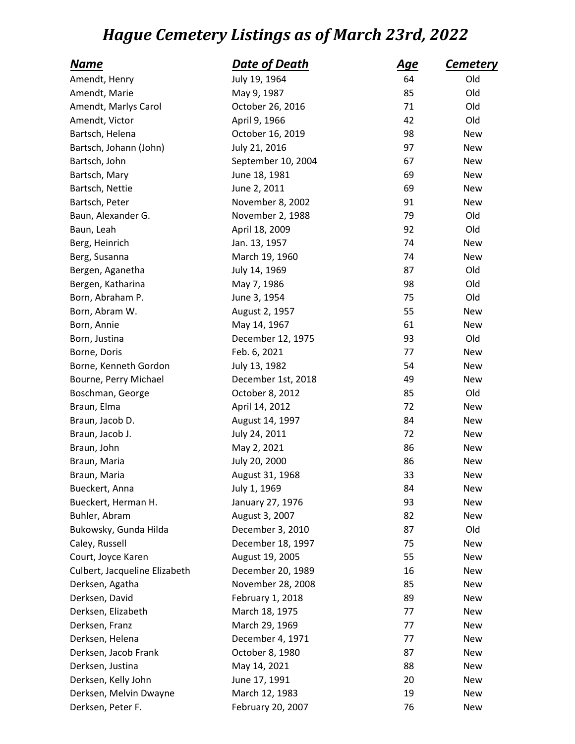## *Hague Cemetery Listings as of March 23rd, 2022*

| <u>Name</u>                   | Date of Death      | <u>Age</u> | <u>Cemetery</u> |
|-------------------------------|--------------------|------------|-----------------|
| Amendt, Henry                 | July 19, 1964      | 64         | Old             |
| Amendt, Marie                 | May 9, 1987        | 85         | Old             |
| Amendt, Marlys Carol          | October 26, 2016   | 71         | Old             |
| Amendt, Victor                | April 9, 1966      | 42         | Old             |
| Bartsch, Helena               | October 16, 2019   | 98         | <b>New</b>      |
| Bartsch, Johann (John)        | July 21, 2016      | 97         | <b>New</b>      |
| Bartsch, John                 | September 10, 2004 | 67         | <b>New</b>      |
| Bartsch, Mary                 | June 18, 1981      | 69         | <b>New</b>      |
| Bartsch, Nettie               | June 2, 2011       | 69         | New             |
| Bartsch, Peter                | November 8, 2002   | 91         | New             |
| Baun, Alexander G.            | November 2, 1988   | 79         | Old             |
| Baun, Leah                    | April 18, 2009     | 92         | Old             |
| Berg, Heinrich                | Jan. 13, 1957      | 74         | <b>New</b>      |
| Berg, Susanna                 | March 19, 1960     | 74         | <b>New</b>      |
| Bergen, Aganetha              | July 14, 1969      | 87         | Old             |
| Bergen, Katharina             | May 7, 1986        | 98         | Old             |
| Born, Abraham P.              | June 3, 1954       | 75         | Old             |
| Born, Abram W.                | August 2, 1957     | 55         | New             |
| Born, Annie                   | May 14, 1967       | 61         | New             |
| Born, Justina                 | December 12, 1975  | 93         | Old             |
| Borne, Doris                  | Feb. 6, 2021       | 77         | New             |
| Borne, Kenneth Gordon         | July 13, 1982      | 54         | New             |
| Bourne, Perry Michael         | December 1st, 2018 | 49         | New             |
| Boschman, George              | October 8, 2012    | 85         | Old             |
| Braun, Elma                   | April 14, 2012     | 72         | <b>New</b>      |
| Braun, Jacob D.               | August 14, 1997    | 84         | <b>New</b>      |
| Braun, Jacob J.               | July 24, 2011      | 72         | <b>New</b>      |
| Braun, John                   | May 2, 2021        | 86         | New             |
| Braun, Maria                  | July 20, 2000      | 86         | New             |
| Braun, Maria                  | August 31, 1968    | 33         | New             |
| Bueckert, Anna                | July 1, 1969       | 84         | New             |
| Bueckert, Herman H.           | January 27, 1976   | 93         | <b>New</b>      |
| Buhler, Abram                 | August 3, 2007     | 82         | <b>New</b>      |
| Bukowsky, Gunda Hilda         | December 3, 2010   | 87         | Old             |
| Caley, Russell                | December 18, 1997  | 75         | <b>New</b>      |
| Court, Joyce Karen            | August 19, 2005    | 55         | <b>New</b>      |
| Culbert, Jacqueline Elizabeth | December 20, 1989  | 16         | <b>New</b>      |
| Derksen, Agatha               | November 28, 2008  | 85         | <b>New</b>      |
| Derksen, David                | February 1, 2018   | 89         | <b>New</b>      |
| Derksen, Elizabeth            | March 18, 1975     | 77         | New             |
| Derksen, Franz                | March 29, 1969     | 77         | New             |
| Derksen, Helena               | December 4, 1971   | 77         | <b>New</b>      |
| Derksen, Jacob Frank          | October 8, 1980    | 87         | <b>New</b>      |
| Derksen, Justina              | May 14, 2021       | 88         | <b>New</b>      |
| Derksen, Kelly John           | June 17, 1991      | 20         | New             |
| Derksen, Melvin Dwayne        | March 12, 1983     | 19         | <b>New</b>      |
| Derksen, Peter F.             | February 20, 2007  | 76         | New             |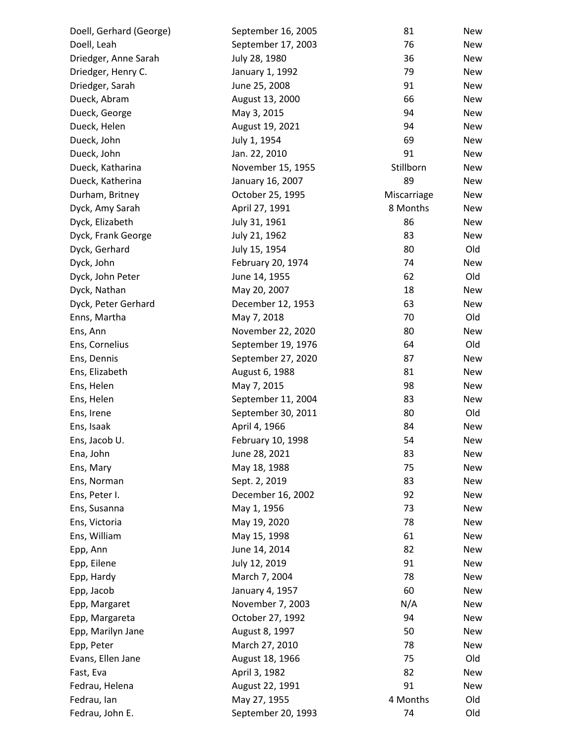| Doell, Gerhard (George) | September 16, 2005 | 81          | New        |
|-------------------------|--------------------|-------------|------------|
| Doell, Leah             | September 17, 2003 | 76          | New        |
| Driedger, Anne Sarah    | July 28, 1980      | 36          | <b>New</b> |
| Driedger, Henry C.      | January 1, 1992    | 79          | <b>New</b> |
| Driedger, Sarah         | June 25, 2008      | 91          | <b>New</b> |
| Dueck, Abram            | August 13, 2000    | 66          | New        |
| Dueck, George           | May 3, 2015        | 94          | <b>New</b> |
| Dueck, Helen            | August 19, 2021    | 94          | <b>New</b> |
| Dueck, John             | July 1, 1954       | 69          | <b>New</b> |
| Dueck, John             | Jan. 22, 2010      | 91          | New        |
| Dueck, Katharina        | November 15, 1955  | Stillborn   | New        |
| Dueck, Katherina        | January 16, 2007   | 89          | <b>New</b> |
| Durham, Britney         | October 25, 1995   | Miscarriage | New        |
| Dyck, Amy Sarah         | April 27, 1991     | 8 Months    | <b>New</b> |
| Dyck, Elizabeth         | July 31, 1961      | 86          | New        |
| Dyck, Frank George      | July 21, 1962      | 83          | <b>New</b> |
| Dyck, Gerhard           | July 15, 1954      | 80          | Old        |
| Dyck, John              | February 20, 1974  | 74          | <b>New</b> |
| Dyck, John Peter        | June 14, 1955      | 62          | Old        |
| Dyck, Nathan            | May 20, 2007       | 18          | <b>New</b> |
| Dyck, Peter Gerhard     | December 12, 1953  | 63          | <b>New</b> |
| Enns, Martha            | May 7, 2018        | 70          | Old        |
| Ens, Ann                | November 22, 2020  | 80          | <b>New</b> |
| Ens, Cornelius          | September 19, 1976 | 64          | Old        |
| Ens, Dennis             | September 27, 2020 | 87          | <b>New</b> |
| Ens, Elizabeth          | August 6, 1988     | 81          | <b>New</b> |
| Ens, Helen              | May 7, 2015        | 98          | New        |
| Ens, Helen              | September 11, 2004 | 83          | <b>New</b> |
| Ens, Irene              | September 30, 2011 | 80          | Old        |
| Ens, Isaak              | April 4, 1966      | 84          | <b>New</b> |
| Ens, Jacob U.           | February 10, 1998  | 54          | New        |
| Ena, John               | June 28, 2021      | 83          | New        |
| Ens, Mary               | May 18, 1988       | 75          | New        |
| Ens, Norman             | Sept. 2, 2019      | 83          | New        |
| Ens, Peter I.           | December 16, 2002  | 92          | New        |
| Ens, Susanna            | May 1, 1956        | 73          | New        |
| Ens, Victoria           | May 19, 2020       | 78          | <b>New</b> |
| Ens, William            | May 15, 1998       | 61          | <b>New</b> |
| Epp, Ann                | June 14, 2014      | 82          | New        |
| Epp, Eilene             | July 12, 2019      | 91          | <b>New</b> |
| Epp, Hardy              | March 7, 2004      | 78          | <b>New</b> |
| Epp, Jacob              | January 4, 1957    | 60          | New        |
| Epp, Margaret           | November 7, 2003   | N/A         | New        |
| Epp, Margareta          | October 27, 1992   | 94          | <b>New</b> |
| Epp, Marilyn Jane       | August 8, 1997     | 50          | <b>New</b> |
| Epp, Peter              | March 27, 2010     | 78          | New        |
| Evans, Ellen Jane       | August 18, 1966    | 75          | Old        |
| Fast, Eva               | April 3, 1982      | 82          | New        |
| Fedrau, Helena          | August 22, 1991    | 91          | New        |
| Fedrau, Ian             | May 27, 1955       | 4 Months    | Old        |
| Fedrau, John E.         | September 20, 1993 | 74          | Old        |
|                         |                    |             |            |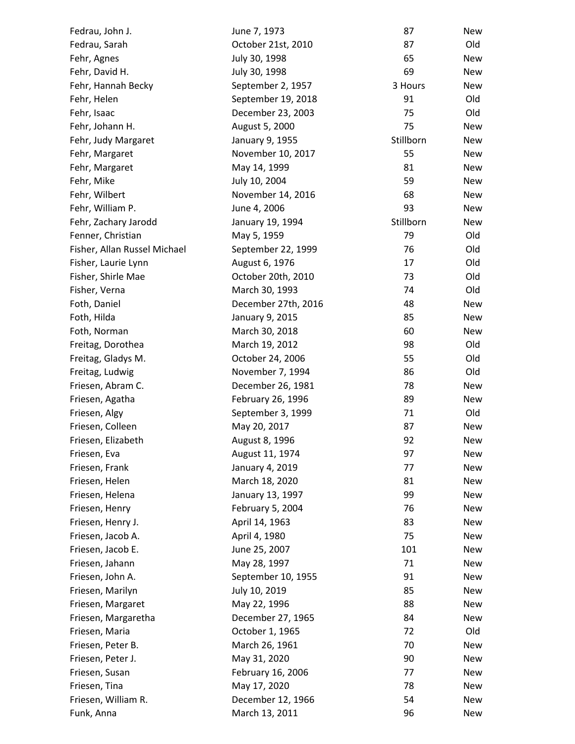| Fedrau, John J.              | June 7, 1973        | 87        | New        |
|------------------------------|---------------------|-----------|------------|
| Fedrau, Sarah                | October 21st, 2010  | 87        | Old        |
| Fehr, Agnes                  | July 30, 1998       | 65        | <b>New</b> |
| Fehr, David H.               | July 30, 1998       | 69        | <b>New</b> |
| Fehr, Hannah Becky           | September 2, 1957   | 3 Hours   | New        |
| Fehr, Helen                  | September 19, 2018  | 91        | Old        |
| Fehr, Isaac                  | December 23, 2003   | 75        | Old        |
| Fehr, Johann H.              | August 5, 2000      | 75        | <b>New</b> |
| Fehr, Judy Margaret          | January 9, 1955     | Stillborn | <b>New</b> |
| Fehr, Margaret               | November 10, 2017   | 55        | New        |
| Fehr, Margaret               | May 14, 1999        | 81        | New        |
| Fehr, Mike                   | July 10, 2004       | 59        | <b>New</b> |
| Fehr, Wilbert                | November 14, 2016   | 68        | <b>New</b> |
| Fehr, William P.             | June 4, 2006        | 93        | <b>New</b> |
| Fehr, Zachary Jarodd         | January 19, 1994    | Stillborn | New        |
| Fenner, Christian            | May 5, 1959         | 79        | Old        |
| Fisher, Allan Russel Michael | September 22, 1999  | 76        | Old        |
| Fisher, Laurie Lynn          | August 6, 1976      | 17        | Old        |
| Fisher, Shirle Mae           | October 20th, 2010  | 73        | Old        |
| Fisher, Verna                | March 30, 1993      | 74        | Old        |
| Foth, Daniel                 | December 27th, 2016 | 48        | New        |
| Foth, Hilda                  | January 9, 2015     | 85        | New        |
| Foth, Norman                 | March 30, 2018      | 60        | <b>New</b> |
| Freitag, Dorothea            | March 19, 2012      | 98        | Old        |
| Freitag, Gladys M.           | October 24, 2006    | 55        | Old        |
| Freitag, Ludwig              | November 7, 1994    | 86        | Old        |
| Friesen, Abram C.            | December 26, 1981   | 78        | New        |
| Friesen, Agatha              | February 26, 1996   | 89        | New        |
| Friesen, Algy                | September 3, 1999   | 71        | Old        |
| Friesen, Colleen             | May 20, 2017        | 87        | <b>New</b> |
| Friesen, Elizabeth           | August 8, 1996      | 92        | New        |
| Friesen, Eva                 | August 11, 1974     | 97        | New        |
| Friesen, Frank               | January 4, 2019     | 77        | <b>New</b> |
| Friesen, Helen               | March 18, 2020      | 81        | <b>New</b> |
| Friesen, Helena              | January 13, 1997    | 99        | New        |
| Friesen, Henry               | February 5, 2004    | 76        | New        |
| Friesen, Henry J.            | April 14, 1963      | 83        | New        |
| Friesen, Jacob A.            | April 4, 1980       | 75        | <b>New</b> |
| Friesen, Jacob E.            | June 25, 2007       | 101       | New        |
| Friesen, Jahann              | May 28, 1997        | 71        | <b>New</b> |
| Friesen, John A.             | September 10, 1955  | 91        | New        |
| Friesen, Marilyn             | July 10, 2019       | 85        | New        |
| Friesen, Margaret            | May 22, 1996        | 88        | <b>New</b> |
| Friesen, Margaretha          | December 27, 1965   | 84        | New        |
| Friesen, Maria               | October 1, 1965     | 72        | Old        |
| Friesen, Peter B.            | March 26, 1961      | 70        | New        |
| Friesen, Peter J.            | May 31, 2020        | 90        | New        |
| Friesen, Susan               | February 16, 2006   | 77        | New        |
| Friesen, Tina                | May 17, 2020        | 78        | New        |
| Friesen, William R.          | December 12, 1966   | 54        | New        |
| Funk, Anna                   | March 13, 2011      | 96        | New        |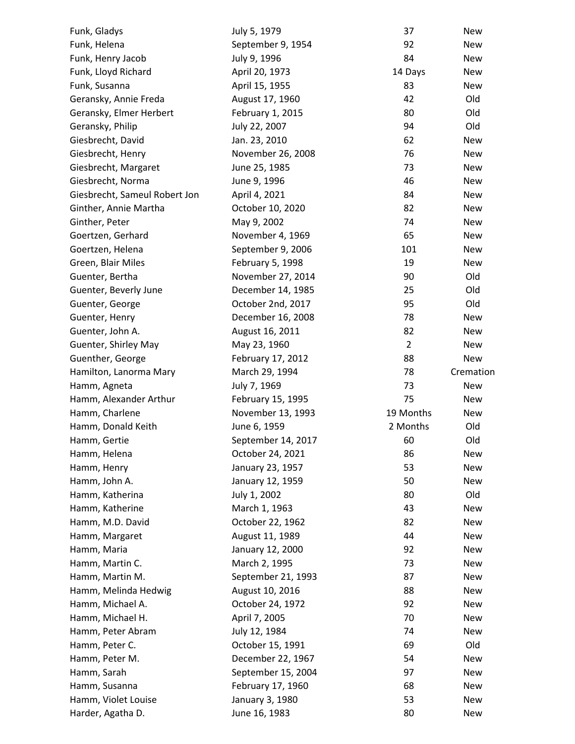| Funk, Gladys                  | July 5, 1979                            | 37             | New        |
|-------------------------------|-----------------------------------------|----------------|------------|
| Funk, Helena                  | September 9, 1954                       | 92             | New        |
| Funk, Henry Jacob             | July 9, 1996                            | 84             | New        |
| Funk, Lloyd Richard           | April 20, 1973                          | 14 Days        | New        |
| Funk, Susanna                 | April 15, 1955                          | 83             | New        |
| Geransky, Annie Freda         | August 17, 1960                         | 42             | Old        |
| Geransky, Elmer Herbert       | February 1, 2015                        | 80             | Old        |
| Geransky, Philip              | July 22, 2007                           | 94             | Old        |
| Giesbrecht, David             | Jan. 23, 2010                           | 62             | <b>New</b> |
| Giesbrecht, Henry             | November 26, 2008                       | 76             | New        |
| Giesbrecht, Margaret          | June 25, 1985                           | 73             | New        |
| Giesbrecht, Norma             | June 9, 1996                            | 46             | New        |
| Giesbrecht, Sameul Robert Jon | April 4, 2021                           | 84             | New        |
| Ginther, Annie Martha         | October 10, 2020                        | 82             | New        |
| Ginther, Peter                | May 9, 2002                             | 74             | New        |
| Goertzen, Gerhard             | November 4, 1969                        | 65             | New        |
| Goertzen, Helena              | September 9, 2006                       | 101            | New        |
| Green, Blair Miles            | February 5, 1998                        | 19             | <b>New</b> |
| Guenter, Bertha               | November 27, 2014                       | 90             | Old        |
| Guenter, Beverly June         | December 14, 1985                       | 25             | Old        |
| Guenter, George               | October 2nd, 2017                       | 95             | Old        |
| Guenter, Henry                | December 16, 2008                       | 78             | <b>New</b> |
| Guenter, John A.              | August 16, 2011                         | 82             | New        |
| Guenter, Shirley May          | May 23, 1960                            | $\overline{2}$ | New        |
| Guenther, George              | February 17, 2012                       | 88             | New        |
| Hamilton, Lanorma Mary        | March 29, 1994                          | 78             | Cremation  |
| Hamm, Agneta                  | July 7, 1969                            | 73             | New        |
| Hamm, Alexander Arthur        | February 15, 1995                       | 75             | New        |
| Hamm, Charlene                | November 13, 1993                       | 19 Months      | New        |
| Hamm, Donald Keith            | June 6, 1959                            | 2 Months       | Old        |
| Hamm, Gertie                  | September 14, 2017                      | 60             | Old        |
| Hamm, Helena                  | October 24, 2021                        | 86             | New        |
| Hamm, Henry                   | January 23, 1957                        | 53             | New        |
| Hamm, John A.                 | January 12, 1959                        | 50             | New        |
| Hamm, Katherina               | July 1, 2002                            | 80             | Old        |
| Hamm, Katherine               | March 1, 1963                           | 43             | New        |
| Hamm, M.D. David              | October 22, 1962                        | 82             | New        |
| Hamm, Margaret                | August 11, 1989                         | 44             | New        |
| Hamm, Maria                   | January 12, 2000                        | 92             | New        |
| Hamm, Martin C.               | March 2, 1995                           | 73             | New        |
| Hamm, Martin M.               | September 21, 1993                      | 87             | <b>New</b> |
| Hamm, Melinda Hedwig          | August 10, 2016                         | 88             | New        |
| Hamm, Michael A.              | October 24, 1972                        | 92             | New        |
| Hamm, Michael H.              | April 7, 2005                           | 70             | New        |
| Hamm, Peter Abram             |                                         | 74             | New        |
|                               | July 12, 1984<br>October 15, 1991       | 69             | Old        |
| Hamm, Peter C.                |                                         |                |            |
| Hamm, Peter M.                | December 22, 1967<br>September 15, 2004 | 54             | New        |
| Hamm, Sarah                   |                                         | 97<br>68       | New        |
| Hamm, Susanna                 | February 17, 1960                       | 53             | New<br>New |
| Hamm, Violet Louise           | January 3, 1980                         |                |            |
| Harder, Agatha D.             | June 16, 1983                           | 80             | New        |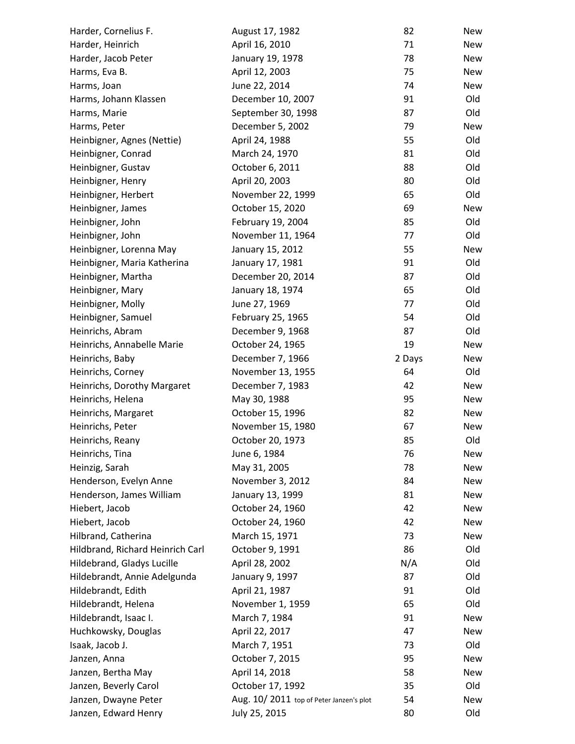| Harder, Cornelius F.             | August 17, 1982                         | 82     | New        |
|----------------------------------|-----------------------------------------|--------|------------|
| Harder, Heinrich                 | April 16, 2010                          | 71     | New        |
| Harder, Jacob Peter              | January 19, 1978                        | 78     | New        |
| Harms, Eva B.                    | April 12, 2003                          | 75     | <b>New</b> |
| Harms, Joan                      | June 22, 2014                           | 74     | New        |
| Harms, Johann Klassen            | December 10, 2007                       | 91     | Old        |
| Harms, Marie                     | September 30, 1998                      | 87     | Old        |
| Harms, Peter                     | December 5, 2002                        | 79     | <b>New</b> |
| Heinbigner, Agnes (Nettie)       | April 24, 1988                          | 55     | Old        |
| Heinbigner, Conrad               | March 24, 1970                          | 81     | Old        |
| Heinbigner, Gustav               | October 6, 2011                         | 88     | Old        |
| Heinbigner, Henry                | April 20, 2003                          | 80     | Old        |
| Heinbigner, Herbert              | November 22, 1999                       | 65     | Old        |
| Heinbigner, James                | October 15, 2020                        | 69     | <b>New</b> |
| Heinbigner, John                 | February 19, 2004                       | 85     | Old        |
| Heinbigner, John                 | November 11, 1964                       | 77     | Old        |
| Heinbigner, Lorenna May          | January 15, 2012                        | 55     | <b>New</b> |
| Heinbigner, Maria Katherina      | January 17, 1981                        | 91     | Old        |
| Heinbigner, Martha               | December 20, 2014                       | 87     | Old        |
| Heinbigner, Mary                 | January 18, 1974                        | 65     | Old        |
| Heinbigner, Molly                | June 27, 1969                           | 77     | Old        |
| Heinbigner, Samuel               | February 25, 1965                       | 54     | Old        |
| Heinrichs, Abram                 | December 9, 1968                        | 87     | Old        |
| Heinrichs, Annabelle Marie       | October 24, 1965                        | 19     | New        |
| Heinrichs, Baby                  | December 7, 1966                        | 2 Days | New        |
| Heinrichs, Corney                | November 13, 1955                       | 64     | Old        |
| Heinrichs, Dorothy Margaret      | December 7, 1983                        | 42     | New        |
| Heinrichs, Helena                | May 30, 1988                            | 95     | <b>New</b> |
| Heinrichs, Margaret              | October 15, 1996                        | 82     | New        |
| Heinrichs, Peter                 | November 15, 1980                       | 67     | New        |
| Heinrichs, Reany                 | October 20, 1973                        | 85     | Old        |
| Heinrichs, Tina                  | June 6, 1984                            | 76     | New        |
| Heinzig, Sarah                   | May 31, 2005                            | 78     | <b>New</b> |
| Henderson, Evelyn Anne           | November 3, 2012                        | 84     | New        |
| Henderson, James William         | January 13, 1999                        | 81     | New        |
| Hiebert, Jacob                   | October 24, 1960                        | 42     | New        |
| Hiebert, Jacob                   | October 24, 1960                        | 42     | New        |
| Hilbrand, Catherina              | March 15, 1971                          | 73     | New        |
| Hildbrand, Richard Heinrich Carl | October 9, 1991                         | 86     | Old        |
| Hildebrand, Gladys Lucille       | April 28, 2002                          | N/A    | Old        |
| Hildebrandt, Annie Adelgunda     | January 9, 1997                         | 87     | Old        |
| Hildebrandt, Edith               | April 21, 1987                          | 91     | Old        |
| Hildebrandt, Helena              | November 1, 1959                        | 65     | Old        |
| Hildebrandt, Isaac I.            | March 7, 1984                           | 91     | New        |
| Huchkowsky, Douglas              | April 22, 2017                          | 47     | New        |
| Isaak, Jacob J.                  | March 7, 1951                           | 73     | Old        |
| Janzen, Anna                     | October 7, 2015                         | 95     | New        |
| Janzen, Bertha May               | April 14, 2018                          | 58     | New        |
| Janzen, Beverly Carol            | October 17, 1992                        | 35     | Old        |
| Janzen, Dwayne Peter             | Aug. 10/2011 top of Peter Janzen's plot | 54     | New        |
| Janzen, Edward Henry             | July 25, 2015                           | 80     | Old        |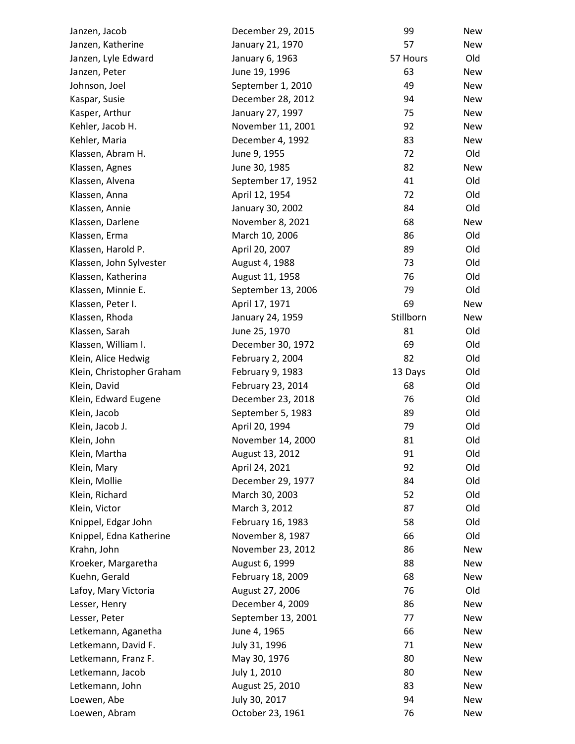| Janzen, Jacob             | December 29, 2015  | 99        | <b>New</b> |
|---------------------------|--------------------|-----------|------------|
| Janzen, Katherine         | January 21, 1970   | 57        | New        |
| Janzen, Lyle Edward       | January 6, 1963    | 57 Hours  | Old        |
| Janzen, Peter             | June 19, 1996      | 63        | <b>New</b> |
| Johnson, Joel             | September 1, 2010  | 49        | <b>New</b> |
| Kaspar, Susie             | December 28, 2012  | 94        | New        |
| Kasper, Arthur            | January 27, 1997   | 75        | <b>New</b> |
| Kehler, Jacob H.          | November 11, 2001  | 92        | <b>New</b> |
| Kehler, Maria             | December 4, 1992   | 83        | New        |
| Klassen, Abram H.         | June 9, 1955       | 72        | Old        |
| Klassen, Agnes            | June 30, 1985      | 82        | New        |
| Klassen, Alvena           | September 17, 1952 | 41        | Old        |
| Klassen, Anna             | April 12, 1954     | 72        | Old        |
| Klassen, Annie            | January 30, 2002   | 84        | Old        |
| Klassen, Darlene          | November 8, 2021   | 68        | <b>New</b> |
| Klassen, Erma             | March 10, 2006     | 86        | Old        |
| Klassen, Harold P.        | April 20, 2007     | 89        | Old        |
| Klassen, John Sylvester   | August 4, 1988     | 73        | Old        |
| Klassen, Katherina        | August 11, 1958    | 76        | Old        |
| Klassen, Minnie E.        | September 13, 2006 | 79        | Old        |
| Klassen, Peter I.         | April 17, 1971     | 69        | New        |
| Klassen, Rhoda            | January 24, 1959   | Stillborn | New        |
| Klassen, Sarah            | June 25, 1970      | 81        | Old        |
| Klassen, William I.       | December 30, 1972  | 69        | Old        |
| Klein, Alice Hedwig       | February 2, 2004   | 82        | Old        |
| Klein, Christopher Graham | February 9, 1983   | 13 Days   | Old        |
| Klein, David              | February 23, 2014  | 68        | Old        |
| Klein, Edward Eugene      | December 23, 2018  | 76        | Old        |
| Klein, Jacob              | September 5, 1983  | 89        | Old        |
| Klein, Jacob J.           | April 20, 1994     | 79        | Old        |
| Klein, John               | November 14, 2000  | 81        | Old        |
| Klein, Martha             | August 13, 2012    | 91        | Old        |
| Klein, Mary               | April 24, 2021     | 92        | Old        |
| Klein, Mollie             | December 29, 1977  | 84        | Old        |
| Klein, Richard            | March 30, 2003     | 52        | Old        |
| Klein, Victor             | March 3, 2012      | 87        | Old        |
| Knippel, Edgar John       | February 16, 1983  | 58        | Old        |
| Knippel, Edna Katherine   | November 8, 1987   | 66        | Old        |
| Krahn, John               | November 23, 2012  | 86        | New        |
| Kroeker, Margaretha       | August 6, 1999     | 88        | <b>New</b> |
| Kuehn, Gerald             | February 18, 2009  | 68        | <b>New</b> |
| Lafoy, Mary Victoria      | August 27, 2006    | 76        | Old        |
| Lesser, Henry             | December 4, 2009   | 86        | <b>New</b> |
| Lesser, Peter             | September 13, 2001 | 77        | New        |
| Letkemann, Aganetha       | June 4, 1965       | 66        | <b>New</b> |
| Letkemann, David F.       | July 31, 1996      | 71        | New        |
| Letkemann, Franz F.       | May 30, 1976       | 80        | New        |
| Letkemann, Jacob          | July 1, 2010       | 80        | New        |
| Letkemann, John           | August 25, 2010    | 83        | New        |
| Loewen, Abe               | July 30, 2017      | 94        | New        |
| Loewen, Abram             | October 23, 1961   | 76        | New        |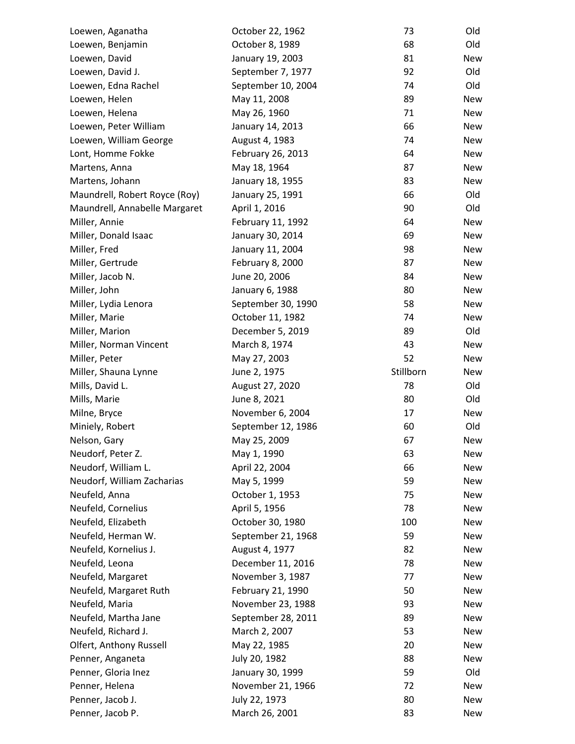| Loewen, Aganatha              | October 22, 1962   | 73        | Old        |
|-------------------------------|--------------------|-----------|------------|
| Loewen, Benjamin              | October 8, 1989    | 68        | Old        |
| Loewen, David                 | January 19, 2003   | 81        | New        |
| Loewen, David J.              | September 7, 1977  | 92        | Old        |
| Loewen, Edna Rachel           | September 10, 2004 | 74        | Old        |
| Loewen, Helen                 | May 11, 2008       | 89        | New        |
| Loewen, Helena                | May 26, 1960       | 71        | New        |
| Loewen, Peter William         | January 14, 2013   | 66        | New        |
| Loewen, William George        | August 4, 1983     | 74        | New        |
| Lont, Homme Fokke             | February 26, 2013  | 64        | New        |
| Martens, Anna                 | May 18, 1964       | 87        | New        |
| Martens, Johann               | January 18, 1955   | 83        | New        |
| Maundrell, Robert Royce (Roy) | January 25, 1991   | 66        | Old        |
| Maundrell, Annabelle Margaret | April 1, 2016      | 90        | Old        |
| Miller, Annie                 | February 11, 1992  | 64        | New        |
| Miller, Donald Isaac          | January 30, 2014   | 69        | New        |
| Miller, Fred                  | January 11, 2004   | 98        | New        |
| Miller, Gertrude              | February 8, 2000   | 87        | <b>New</b> |
| Miller, Jacob N.              | June 20, 2006      | 84        | New        |
| Miller, John                  | January 6, 1988    | 80        | New        |
| Miller, Lydia Lenora          | September 30, 1990 | 58        | New        |
| Miller, Marie                 | October 11, 1982   | 74        | New        |
| Miller, Marion                | December 5, 2019   | 89        | Old        |
| Miller, Norman Vincent        | March 8, 1974      | 43        | New        |
| Miller, Peter                 | May 27, 2003       | 52        | New        |
| Miller, Shauna Lynne          | June 2, 1975       | Stillborn | New        |
| Mills, David L.               | August 27, 2020    | 78        | Old        |
| Mills, Marie                  | June 8, 2021       | 80        | Old        |
| Milne, Bryce                  | November 6, 2004   | 17        | New        |
| Miniely, Robert               | September 12, 1986 | 60        | Old        |
| Nelson, Gary                  | May 25, 2009       | 67        | New        |
| Neudorf, Peter Z.             | May 1, 1990        | 63        | New        |
| Neudorf, William L.           | April 22, 2004     | 66        | <b>New</b> |
| Neudorf, William Zacharias    | May 5, 1999        | 59        | New        |
| Neufeld, Anna                 | October 1, 1953    | 75        | New        |
| Neufeld, Cornelius            | April 5, 1956      | 78        | New        |
| Neufeld, Elizabeth            | October 30, 1980   | 100       | <b>New</b> |
| Neufeld, Herman W.            | September 21, 1968 | 59        | New        |
| Neufeld, Kornelius J.         | August 4, 1977     | 82        | New        |
| Neufeld, Leona                | December 11, 2016  | 78        | New        |
| Neufeld, Margaret             | November 3, 1987   | 77        | New        |
| Neufeld, Margaret Ruth        | February 21, 1990  | 50        | New        |
| Neufeld, Maria                | November 23, 1988  | 93        | New        |
| Neufeld, Martha Jane          | September 28, 2011 | 89        | New        |
| Neufeld, Richard J.           | March 2, 2007      | 53        | New        |
| Olfert, Anthony Russell       | May 22, 1985       | 20        | New        |
|                               |                    |           |            |
| Penner, Anganeta              | July 20, 1982      | 88        | New<br>Old |
| Penner, Gloria Inez           | January 30, 1999   | 59        |            |
| Penner, Helena                | November 21, 1966  | 72        | New        |
| Penner, Jacob J.              | July 22, 1973      | 80        | New        |
| Penner, Jacob P.              | March 26, 2001     | 83        | New        |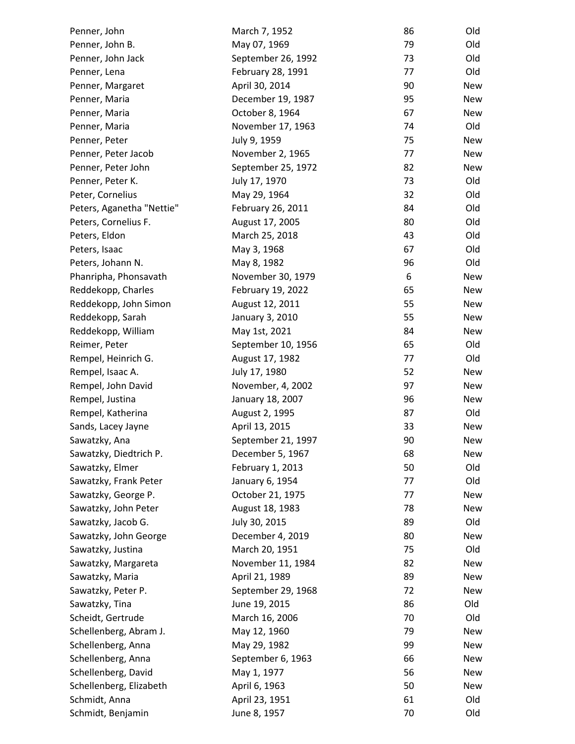| Penner, John              | March 7, 1952      | 86 | Old        |
|---------------------------|--------------------|----|------------|
| Penner, John B.           | May 07, 1969       | 79 | Old        |
| Penner, John Jack         | September 26, 1992 | 73 | Old        |
| Penner, Lena              | February 28, 1991  | 77 | Old        |
| Penner, Margaret          | April 30, 2014     | 90 | <b>New</b> |
| Penner, Maria             | December 19, 1987  | 95 | New        |
| Penner, Maria             | October 8, 1964    | 67 | New        |
| Penner, Maria             | November 17, 1963  | 74 | Old        |
| Penner, Peter             | July 9, 1959       | 75 | <b>New</b> |
| Penner, Peter Jacob       | November 2, 1965   | 77 | New        |
| Penner, Peter John        | September 25, 1972 | 82 | New        |
| Penner, Peter K.          | July 17, 1970      | 73 | Old        |
| Peter, Cornelius          | May 29, 1964       | 32 | Old        |
| Peters, Aganetha "Nettie" | February 26, 2011  | 84 | Old        |
| Peters, Cornelius F.      | August 17, 2005    | 80 | Old        |
| Peters, Eldon             | March 25, 2018     | 43 | Old        |
| Peters, Isaac             | May 3, 1968        | 67 | Old        |
| Peters, Johann N.         | May 8, 1982        | 96 | Old        |
| Phanripha, Phonsavath     | November 30, 1979  | 6  | <b>New</b> |
| Reddekopp, Charles        | February 19, 2022  | 65 | New        |
| Reddekopp, John Simon     | August 12, 2011    | 55 | New        |
| Reddekopp, Sarah          | January 3, 2010    | 55 | New        |
| Reddekopp, William        | May 1st, 2021      | 84 | <b>New</b> |
| Reimer, Peter             | September 10, 1956 | 65 | Old        |
| Rempel, Heinrich G.       | August 17, 1982    | 77 | Old        |
| Rempel, Isaac A.          | July 17, 1980      | 52 | <b>New</b> |
| Rempel, John David        | November, 4, 2002  | 97 | New        |
| Rempel, Justina           | January 18, 2007   | 96 | New        |
| Rempel, Katherina         | August 2, 1995     | 87 | Old        |
| Sands, Lacey Jayne        | April 13, 2015     | 33 | New        |
| Sawatzky, Ana             | September 21, 1997 | 90 | New        |
| Sawatzky, Diedtrich P.    | December 5, 1967   | 68 | New        |
| Sawatzky, Elmer           | February 1, 2013   | 50 | Old        |
| Sawatzky, Frank Peter     | January 6, 1954    | 77 | Old        |
| Sawatzky, George P.       | October 21, 1975   | 77 | <b>New</b> |
| Sawatzky, John Peter      | August 18, 1983    | 78 | New        |
| Sawatzky, Jacob G.        | July 30, 2015      | 89 | Old        |
| Sawatzky, John George     | December 4, 2019   | 80 | <b>New</b> |
| Sawatzky, Justina         | March 20, 1951     | 75 | Old        |
| Sawatzky, Margareta       | November 11, 1984  | 82 | <b>New</b> |
| Sawatzky, Maria           | April 21, 1989     | 89 | New        |
| Sawatzky, Peter P.        | September 29, 1968 | 72 | New        |
| Sawatzky, Tina            | June 19, 2015      | 86 | Old        |
| Scheidt, Gertrude         | March 16, 2006     | 70 | Old        |
| Schellenberg, Abram J.    | May 12, 1960       | 79 | <b>New</b> |
| Schellenberg, Anna        | May 29, 1982       | 99 | New        |
| Schellenberg, Anna        | September 6, 1963  | 66 | New        |
| Schellenberg, David       | May 1, 1977        | 56 | New        |
| Schellenberg, Elizabeth   | April 6, 1963      | 50 | New        |
| Schmidt, Anna             | April 23, 1951     | 61 | Old        |
| Schmidt, Benjamin         | June 8, 1957       | 70 | Old        |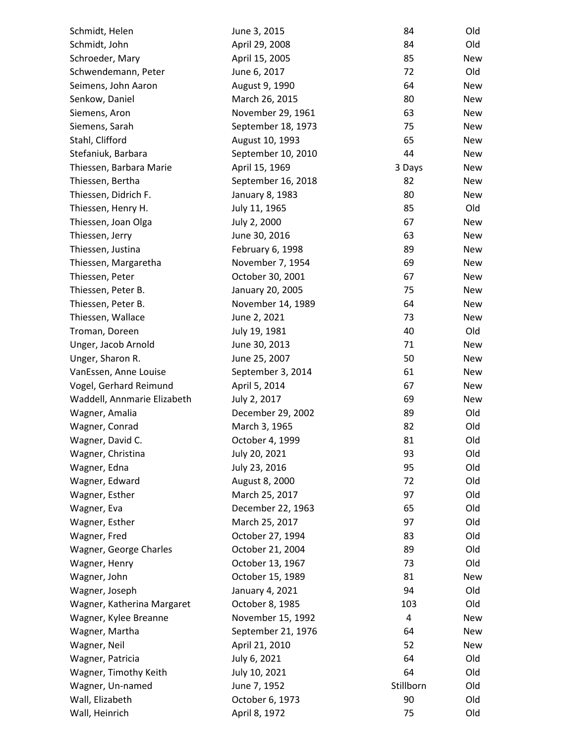| Schmidt, Helen              | June 3, 2015       | 84        | Old        |
|-----------------------------|--------------------|-----------|------------|
| Schmidt, John               | April 29, 2008     | 84        | Old        |
| Schroeder, Mary             | April 15, 2005     | 85        | New        |
| Schwendemann, Peter         | June 6, 2017       | 72        | Old        |
| Seimens, John Aaron         | August 9, 1990     | 64        | New        |
| Senkow, Daniel              | March 26, 2015     | 80        | New        |
| Siemens, Aron               | November 29, 1961  | 63        | New        |
| Siemens, Sarah              | September 18, 1973 | 75        | New        |
| Stahl, Clifford             | August 10, 1993    | 65        | New        |
| Stefaniuk, Barbara          | September 10, 2010 | 44        | New        |
| Thiessen, Barbara Marie     | April 15, 1969     | 3 Days    | New        |
| Thiessen, Bertha            | September 16, 2018 | 82        | New        |
| Thiessen, Didrich F.        | January 8, 1983    | 80        | New        |
| Thiessen, Henry H.          | July 11, 1965      | 85        | Old        |
| Thiessen, Joan Olga         | July 2, 2000       | 67        | New        |
| Thiessen, Jerry             | June 30, 2016      | 63        | New        |
| Thiessen, Justina           | February 6, 1998   | 89        | New        |
| Thiessen, Margaretha        | November 7, 1954   | 69        | New        |
| Thiessen, Peter             | October 30, 2001   | 67        | New        |
| Thiessen, Peter B.          | January 20, 2005   | 75        | New        |
| Thiessen, Peter B.          | November 14, 1989  | 64        | New        |
| Thiessen, Wallace           | June 2, 2021       | 73        | New        |
| Troman, Doreen              | July 19, 1981      | 40        | Old        |
| Unger, Jacob Arnold         | June 30, 2013      | 71        | <b>New</b> |
| Unger, Sharon R.            | June 25, 2007      | 50        | New        |
| VanEssen, Anne Louise       | September 3, 2014  | 61        | <b>New</b> |
| Vogel, Gerhard Reimund      | April 5, 2014      | 67        | New        |
| Waddell, Annmarie Elizabeth | July 2, 2017       | 69        | New        |
| Wagner, Amalia              | December 29, 2002  | 89        | Old        |
| Wagner, Conrad              | March 3, 1965      | 82        | Old        |
| Wagner, David C.            | October 4, 1999    | 81        | Old        |
| Wagner, Christina           | July 20, 2021      | 93        | Old        |
| Wagner, Edna                | July 23, 2016      | 95        | Old        |
| Wagner, Edward              | August 8, 2000     | 72        | Old        |
| Wagner, Esther              | March 25, 2017     | 97        | Old        |
| Wagner, Eva                 | December 22, 1963  | 65        | Old        |
| Wagner, Esther              | March 25, 2017     | 97        | Old        |
| Wagner, Fred                | October 27, 1994   | 83        | Old        |
| Wagner, George Charles      | October 21, 2004   | 89        | Old        |
| Wagner, Henry               | October 13, 1967   | 73        | Old        |
| Wagner, John                | October 15, 1989   | 81        | <b>New</b> |
| Wagner, Joseph              | January 4, 2021    | 94        | Old        |
| Wagner, Katherina Margaret  | October 8, 1985    | 103       | Old        |
| Wagner, Kylee Breanne       | November 15, 1992  | 4         | <b>New</b> |
| Wagner, Martha              | September 21, 1976 | 64        | <b>New</b> |
| Wagner, Neil                | April 21, 2010     | 52        | New        |
| Wagner, Patricia            | July 6, 2021       | 64        | Old        |
| Wagner, Timothy Keith       | July 10, 2021      | 64        | Old        |
| Wagner, Un-named            | June 7, 1952       | Stillborn | Old        |
| Wall, Elizabeth             | October 6, 1973    | 90        | Old        |
| Wall, Heinrich              | April 8, 1972      | 75        | Old        |
|                             |                    |           |            |